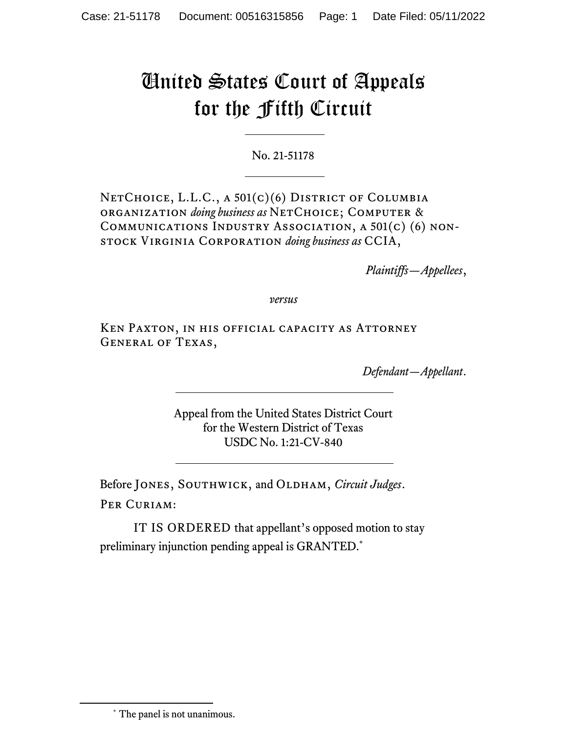## United States Court of Appeals for the Fifth Circuit

No. 21-51178

NETCHOICE, L.L.C., A 501(c)(6) DISTRICT OF COLUMBIA organization *doing business as* NetChoice; Computer & Communications Industry Association, a 501(c) (6) nonstock Virginia Corporation *doing business as* CCIA,

*Plaintiffs—Appellees*,

*versus*

Ken Paxton, in his official capacity as Attorney General of Texas,

*Defendant—Appellant*.

Appeal from the United States District Court for the Western District of Texas USDC No. 1:21-CV-840

Before JONES, SOUTHWICK, and OLDHAM, *Circuit Judges*. PER CURIAM:

IT IS ORDERED that appellant's opposed motion to stay preliminary injunction pending appeal is GRANTED.\*

<sup>\*</sup> The panel is not unanimous.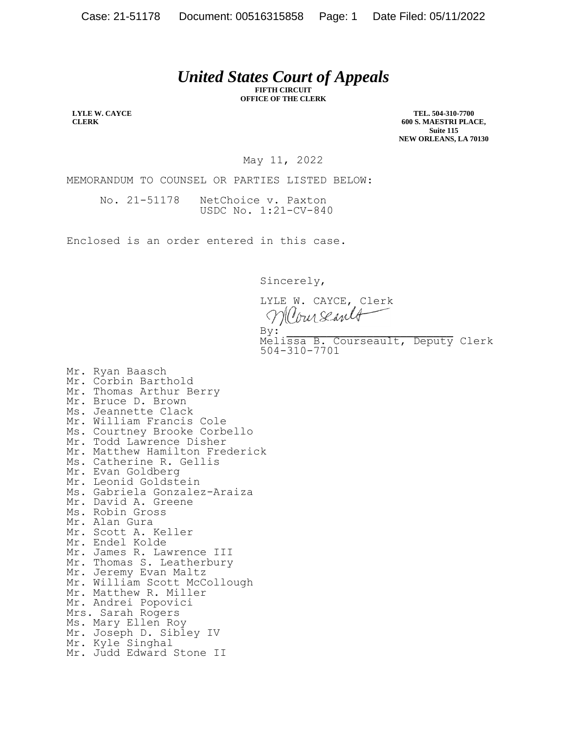## *United States Court of Appeals*

**FIFTH CIRCUIT OFFICE OF THE CLERK**

**LYLE W. CAYCE CLERK**

**TEL. 504-310-7700 600 S. MAESTRI PLACE, Suite 115 NEW ORLEANS, LA 70130**

May 11, 2022

MEMORANDUM TO COUNSEL OR PARTIES LISTED BELOW:

No. 21-51178 NetChoice v. Paxton USDC No. 1:21-CV-840

Enclosed is an order entered in this case.

Sincerely,

LYLE W. CAYCE, Clerk Clour Seared  $\mathbf{By:}$ 

By:<br>Melissa B. Courseault, Deputy Clerk 504-310-7701

Mr. Ryan Baasch Mr. Corbin Barthold Mr. Thomas Arthur Berry Mr. Bruce D. Brown Ms. Jeannette Clack Mr. William Francis Cole Ms. Courtney Brooke Corbello Mr. Todd Lawrence Disher Mr. Matthew Hamilton Frederick Ms. Catherine R. Gellis Mr. Evan Goldberg Mr. Leonid Goldstein Ms. Gabriela Gonzalez-Araiza Mr. David A. Greene Ms. Robin Gross Mr. Alan Gura Mr. Scott A. Keller Mr. Endel Kolde Mr. James R. Lawrence III Mr. Thomas S. Leatherbury Mr. Jeremy Evan Maltz Mr. William Scott McCollough Mr. Matthew R. Miller Mr. Andrei Popovici Mrs. Sarah Rogers Ms. Mary Ellen Roy Mr. Joseph D. Sibley IV Mr. Kyle Singhal Mr. Judd Edward Stone II